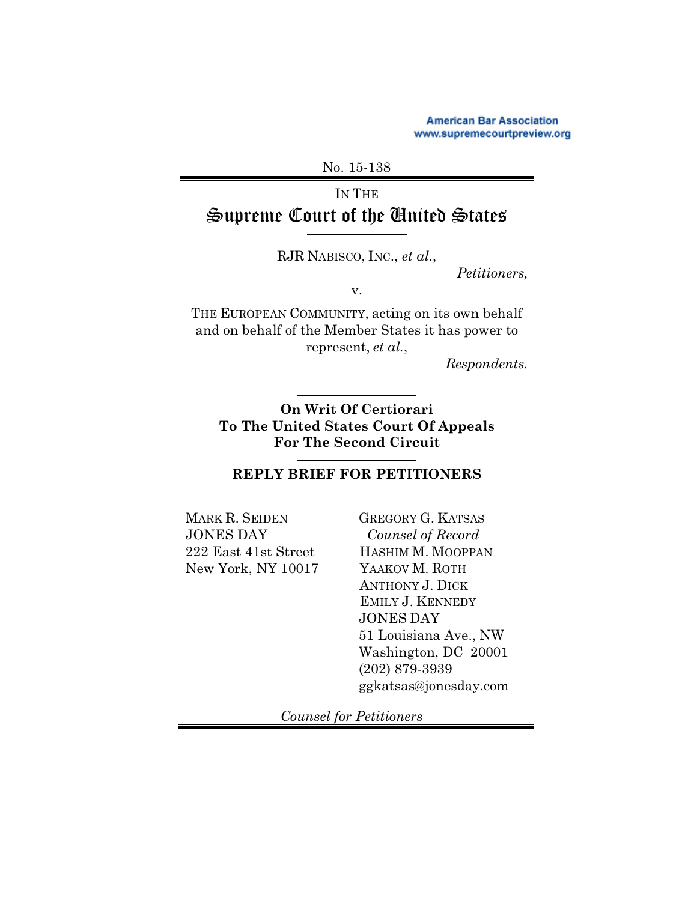**American Bar Association** www.supremecourtpreview.org

No. 15-138

# IN THE Supreme Court of the United States

RJR NABISCO, INC., *et al.*,

*Petitioners,*

v.

THE EUROPEAN COMMUNITY, acting on its own behalf and on behalf of the Member States it has power to represent, *et al.*,

*Respondents.*

**On Writ Of Certiorari To The United States Court Of Appeals For The Second Circuit**

**REPLY BRIEF FOR PETITIONERS**

MARK R. SEIDEN JONES DAY 222 East 41st Street New York, NY 10017

GREGORY G. KATSAS *Counsel of Record* HASHIM M. MOOPPAN YAAKOV M. ROTH ANTHONY J. DICK EMILY J. KENNEDY JONES DAY 51 Louisiana Ave., NW Washington, DC 20001 (202) 879-3939 ggkatsas@jonesday.com

 *Counsel for Petitioners*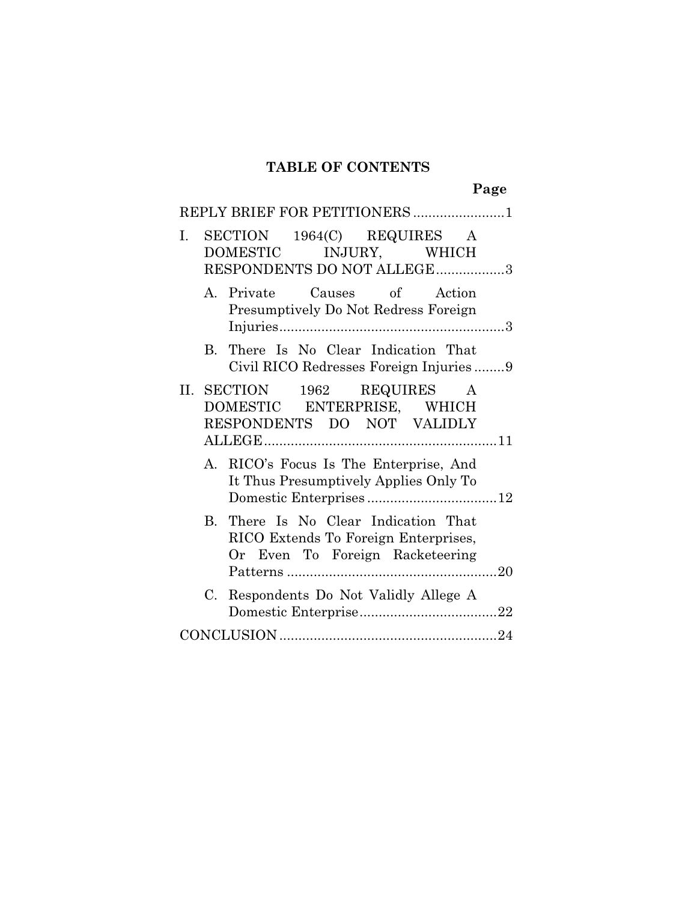### **TABLE OF CONTENTS**

**Page**

| REPLY BRIEF FOR PETITIONERS 1                                                                                   |  |
|-----------------------------------------------------------------------------------------------------------------|--|
| SECTION 1964(C) REQUIRES A<br>I.<br>DOMESTIC INJURY, WHICH<br>RESPONDENTS DO NOT ALLEGE3                        |  |
| A. Private Causes of Action<br>Presumptively Do Not Redress Foreign                                             |  |
| There Is No Clear Indication That<br>$\rm B$ .<br>Civil RICO Redresses Foreign Injuries9                        |  |
| II. SECTION 1962 REQUIRES<br>A<br>DOMESTIC ENTERPRISE, WHICH<br>RESPONDENTS DO NOT VALIDLY                      |  |
| A. RICO's Focus Is The Enterprise, And<br>It Thus Presumptively Applies Only To                                 |  |
| B. There Is No Clear Indication That<br>RICO Extends To Foreign Enterprises,<br>Or Even To Foreign Racketeering |  |
| Respondents Do Not Validly Allege A<br>C.                                                                       |  |
|                                                                                                                 |  |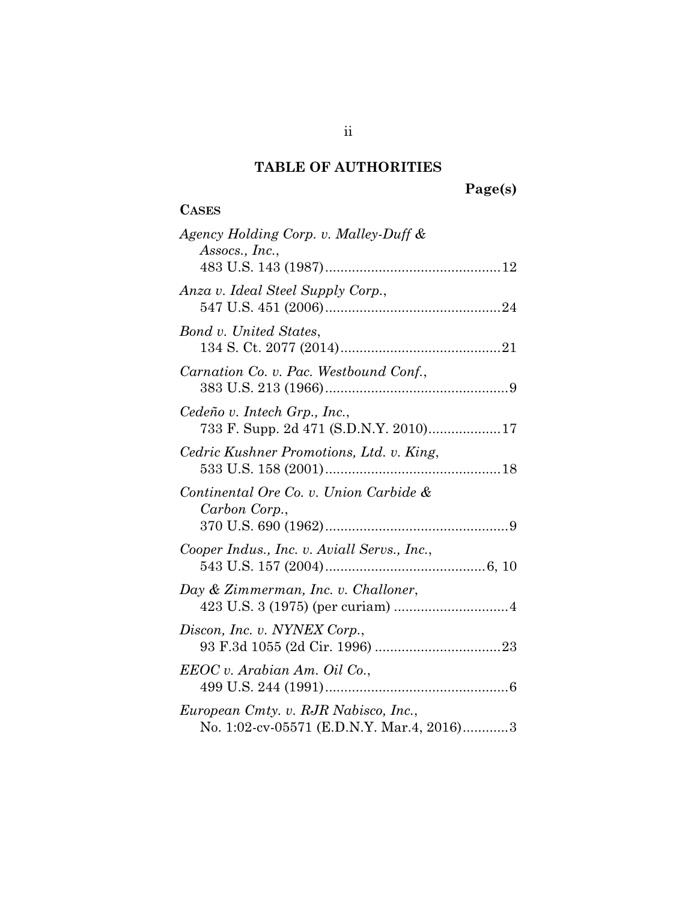# **TABLE OF AUTHORITIES**

# **Page(s)**

## **CASES**

| Agency Holding Corp. v. Malley-Duff &<br>Assocs., Inc.,                           |
|-----------------------------------------------------------------------------------|
|                                                                                   |
| Anza v. Ideal Steel Supply Corp.,                                                 |
| Bond v. United States,                                                            |
| Carnation Co. v. Pac. Westbound Conf.,                                            |
| Cedeño v. Intech Grp., Inc.,<br>733 F. Supp. 2d 471 (S.D.N.Y. 2010) 17            |
| Cedric Kushner Promotions, Ltd. v. King,                                          |
| Continental Ore Co. v. Union Carbide &<br>Carbon Corp.,                           |
| Cooper Indus., Inc. v. Aviall Servs., Inc.,                                       |
| Day & Zimmerman, Inc. v. Challoner,                                               |
| Discon, Inc. v. NYNEX Corp.,                                                      |
| EEOC v. Arabian Am. Oil Co.,                                                      |
| European Cmty. v. RJR Nabisco, Inc.,<br>No. 1:02-cv-05571 (E.D.N.Y. Mar.4, 2016)3 |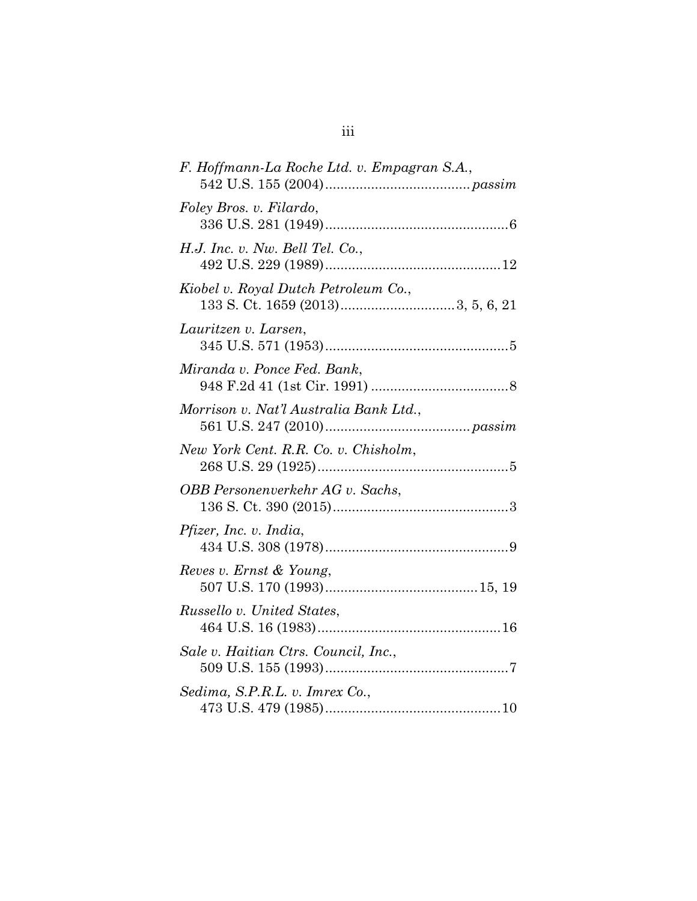| F. Hoffmann-La Roche Ltd. v. Empagran S.A., |
|---------------------------------------------|
| Foley Bros. v. Filardo,                     |
| H.J. Inc. v. Nw. Bell Tel. Co.,             |
| Kiobel v. Royal Dutch Petroleum Co.,        |
| Lauritzen v. Larsen,                        |
| Miranda v. Ponce Fed. Bank,                 |
| Morrison v. Nat'l Australia Bank Ltd.,      |
| New York Cent. R.R. Co. v. Chisholm,        |
| OBB Personenverkehr AG v. Sachs,            |
| <i>Pfizer, Inc. v. India,</i>               |
| Reves v. Ernst & Young,                     |
| Russello v. United States,                  |
| Sale v. Haitian Ctrs. Council, Inc.,        |
| Sedima, S.P.R.L. v. Imrex Co.,              |
|                                             |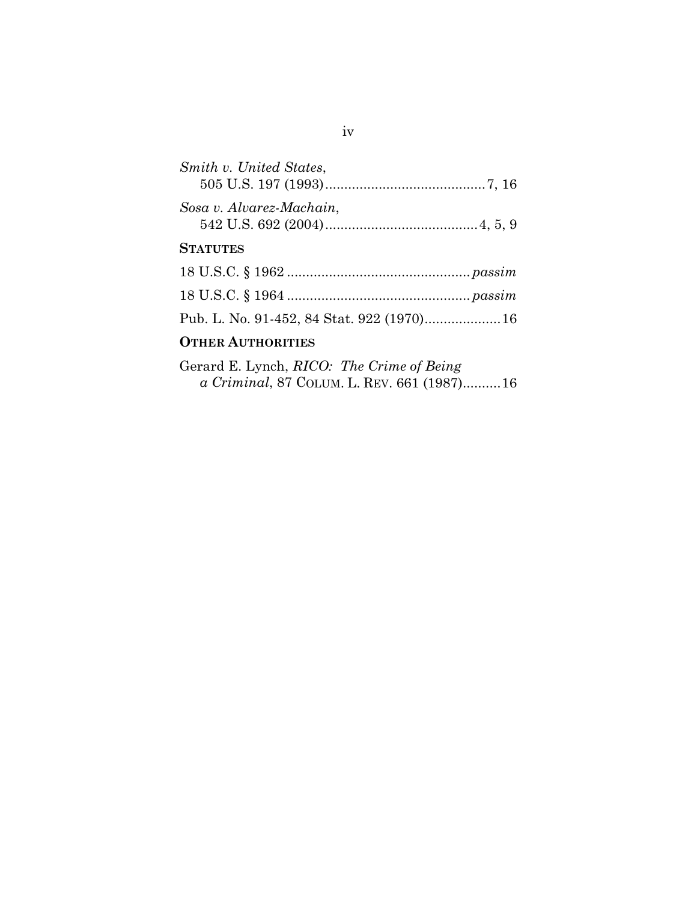| Smith v. United States,  |  |
|--------------------------|--|
| Sosa v. Alvarez-Machain, |  |
| <b>STATUTES</b>          |  |
|                          |  |
|                          |  |
|                          |  |
| <b>OTHER AUTHORITIES</b> |  |

Gerard E. Lynch, *RICO: The Crime of Being a Criminal*, 87 COLUM. L. REV. 661 (1987)..........[16](#page-21-1)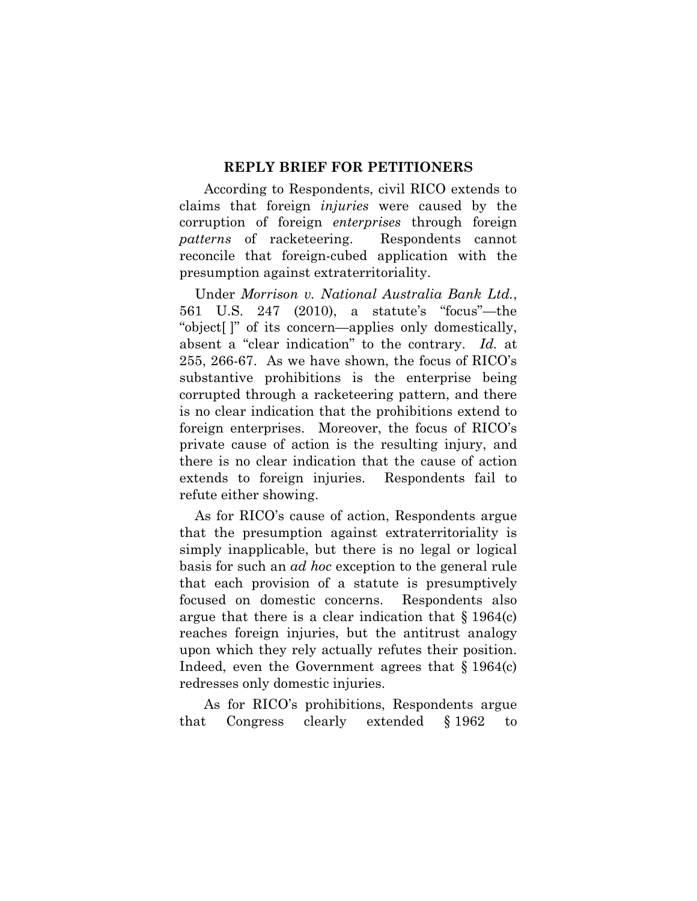#### **REPLY BRIEF FOR PETITIONERS**

According to Respondents, civil RICO extends to claims that foreign *injuries* were caused by the corruption of foreign *enterprises* through foreign *patterns* of racketeering. Respondents cannot reconcile that foreign-cubed application with the presumption against extraterritoriality.

<span id="page-5-0"></span>Under *Morrison v. National Australia Bank Ltd.*, 561 U.S. 247 (2010), a statute's "focus"—the "object[ ]" of its concern—applies only domestically, absent a "clear indication" to the contrary. *Id.* at 255, 266-67. As we have shown, the focus of RICO's substantive prohibitions is the enterprise being corrupted through a racketeering pattern, and there is no clear indication that the prohibitions extend to foreign enterprises. Moreover, the focus of RICO's private cause of action is the resulting injury, and there is no clear indication that the cause of action extends to foreign injuries. Respondents fail to refute either showing.

As for RICO's cause of action, Respondents argue that the presumption against extraterritoriality is simply inapplicable, but there is no legal or logical basis for such an *ad hoc* exception to the general rule that each provision of a statute is presumptively focused on domestic concerns. Respondents also argue that there is a clear indication that  $\S 1964(c)$ reaches foreign injuries, but the antitrust analogy upon which they rely actually refutes their position. Indeed, even the Government agrees that  $\S 1964(c)$ redresses only domestic injuries.

<span id="page-5-1"></span>As for RICO's prohibitions, Respondents argue that Congress clearly extended § 1962 to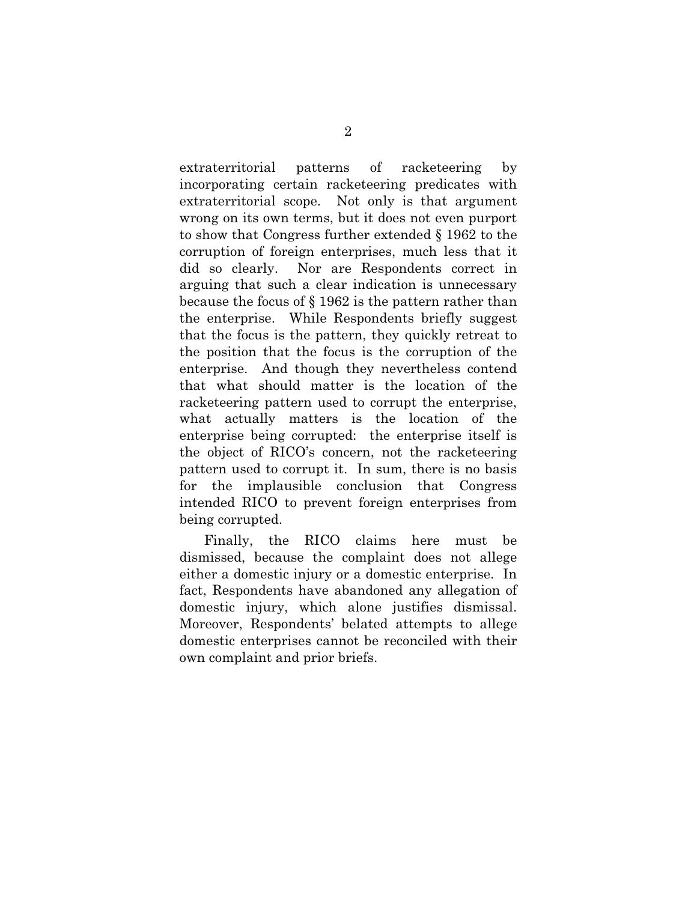extraterritorial patterns of racketeering by incorporating certain racketeering predicates with extraterritorial scope. Not only is that argument wrong on its own terms, but it does not even purport to show that Congress further extended § 1962 to the corruption of foreign enterprises, much less that it did so clearly. Nor are Respondents correct in arguing that such a clear indication is unnecessary because the focus of § 1962 is the pattern rather than the enterprise. While Respondents briefly suggest that the focus is the pattern, they quickly retreat to the position that the focus is the corruption of the enterprise. And though they nevertheless contend that what should matter is the location of the racketeering pattern used to corrupt the enterprise, what actually matters is the location of the enterprise being corrupted: the enterprise itself is the object of RICO's concern, not the racketeering pattern used to corrupt it. In sum, there is no basis for the implausible conclusion that Congress intended RICO to prevent foreign enterprises from being corrupted.

Finally, the RICO claims here must be dismissed, because the complaint does not allege either a domestic injury or a domestic enterprise. In fact, Respondents have abandoned any allegation of domestic injury, which alone justifies dismissal. Moreover, Respondents' belated attempts to allege domestic enterprises cannot be reconciled with their own complaint and prior briefs.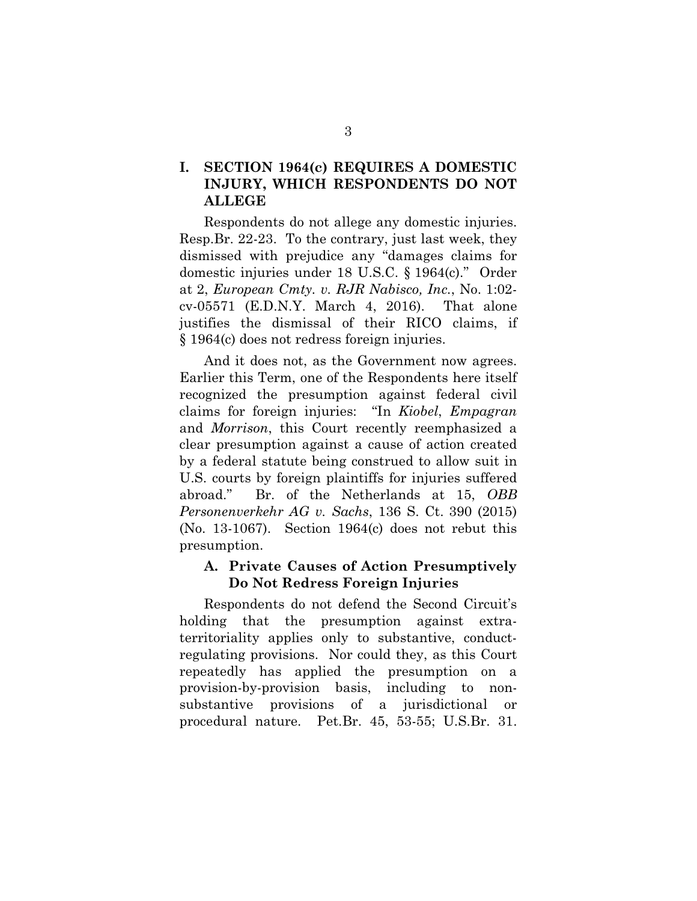#### **I. SECTION 1964(c) REQUIRES A DOMESTIC INJURY, WHICH RESPONDENTS DO NOT ALLEGE**

<span id="page-7-0"></span>Respondents do not allege any domestic injuries. Resp.Br. 22-23. To the contrary, just last week, they dismissed with prejudice any "damages claims for domestic injuries under 18 U.S.C. § 1964(c)." Order at 2, *European Cmty. v. RJR Nabisco, Inc.*, No. 1:02 cv-05571 (E.D.N.Y. March 4, 2016). That alone justifies the dismissal of their RICO claims, if § 1964(c) does not redress foreign injuries.

<span id="page-7-2"></span><span id="page-7-1"></span>And it does not, as the Government now agrees. Earlier this Term, one of the Respondents here itself recognized the presumption against federal civil claims for foreign injuries: "In *Kiobel*, *Empagran* and *Morrison*, this Court recently reemphasized a clear presumption against a cause of action created by a federal statute being construed to allow suit in U.S. courts by foreign plaintiffs for injuries suffered abroad." Br. of the Netherlands at 15, *OBB Personenverkehr AG v. Sachs*, 136 S. Ct. 390 (2015) (No. 13-1067). Section 1964(c) does not rebut this presumption.

#### <span id="page-7-3"></span>**A. Private Causes of Action Presumptively Do Not Redress Foreign Injuries**

Respondents do not defend the Second Circuit's holding that the presumption against extraterritoriality applies only to substantive, conductregulating provisions. Nor could they, as this Court repeatedly has applied the presumption on a provision-by-provision basis, including to nonsubstantive provisions of a jurisdictional or procedural nature. Pet.Br. 45, 53-55; U.S.Br. 31.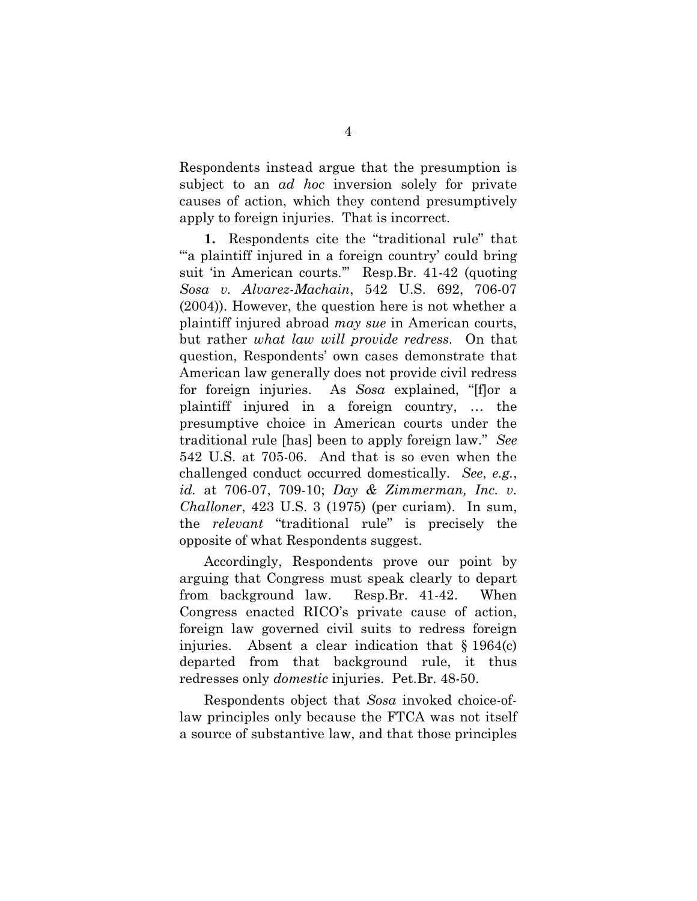Respondents instead argue that the presumption is subject to an *ad hoc* inversion solely for private causes of action, which they contend presumptively apply to foreign injuries. That is incorrect.

<span id="page-8-1"></span>**1.** Respondents cite the "traditional rule" that "" a plaintiff injured in a foreign country' could bring suit 'in American courts.'" Resp.Br. 41-42 (quoting *Sosa v. Alvarez-Machain*, 542 U.S. 692, 706-07 (2004)). However, the question here is not whether a plaintiff injured abroad *may sue* in American courts, but rather *what law will provide redress*. On that question, Respondents' own cases demonstrate that American law generally does not provide civil redress for foreign injuries. As *Sosa* explained, "[f]or a plaintiff injured in a foreign country, … the presumptive choice in American courts under the traditional rule [has] been to apply foreign law." *See*  542 U.S. at 705-06. And that is so even when the challenged conduct occurred domestically. *See*, *e.g.*, *id.* at 706-07, 709-10; *Day & Zimmerman, Inc. v. Challoner*, 423 U.S. 3 (1975) (per curiam). In sum, the *relevant* "traditional rule" is precisely the opposite of what Respondents suggest.

<span id="page-8-0"></span>Accordingly, Respondents prove our point by arguing that Congress must speak clearly to depart from background law. Resp.Br. 41-42. When Congress enacted RICO's private cause of action, foreign law governed civil suits to redress foreign injuries. Absent a clear indication that  $\S 1964(c)$ departed from that background rule, it thus redresses only *domestic* injuries. Pet.Br. 48-50.

Respondents object that *Sosa* invoked choice-oflaw principles only because the FTCA was not itself a source of substantive law, and that those principles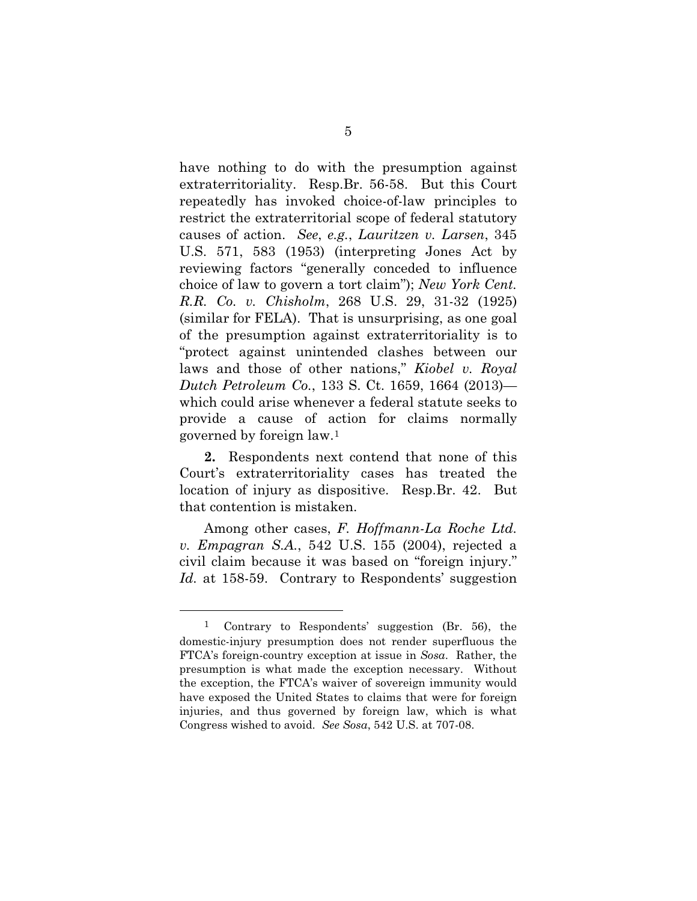<span id="page-9-2"></span><span id="page-9-1"></span>have nothing to do with the presumption against extraterritoriality. Resp.Br. 56-58. But this Court repeatedly has invoked choice-of-law principles to restrict the extraterritorial scope of federal statutory causes of action. *See*, *e.g.*, *Lauritzen v. Larsen*, 345 U.S. 571, 583 (1953) (interpreting Jones Act by reviewing factors "generally conceded to influence choice of law to govern a tort claim"); *New York Cent. R.R. Co. v. Chisholm*, 268 U.S. 29, 31-32 (1925) (similar for FELA). That is unsurprising, as one goal of the presumption against extraterritoriality is to "protect against unintended clashes between our laws and those of other nations," *Kiobel v. Royal Dutch Petroleum Co.*, 133 S. Ct. 1659, 1664 (2013) which could arise whenever a federal statute seeks to provide a cause of action for claims normally governed by foreign law.[1](#page-9-4)

<span id="page-9-0"></span>**2.** Respondents next contend that none of this Court's extraterritoriality cases has treated the location of injury as dispositive. Resp.Br. 42. But that contention is mistaken.

Among other cases, *F. Hoffmann-La Roche Ltd. v. Empagran S.A.*, 542 U.S. 155 (2004), rejected a civil claim because it was based on "foreign injury." *Id.* at 158-59. Contrary to Respondents' suggestion

 $\overline{a}$ 

<span id="page-9-4"></span><span id="page-9-3"></span><sup>1</sup> Contrary to Respondents' suggestion (Br. 56), the domestic-injury presumption does not render superfluous the FTCA's foreign-country exception at issue in *Sosa*. Rather, the presumption is what made the exception necessary. Without the exception, the FTCA's waiver of sovereign immunity would have exposed the United States to claims that were for foreign injuries, and thus governed by foreign law, which is what Congress wished to avoid. *See Sosa*, 542 U.S. at 707-08.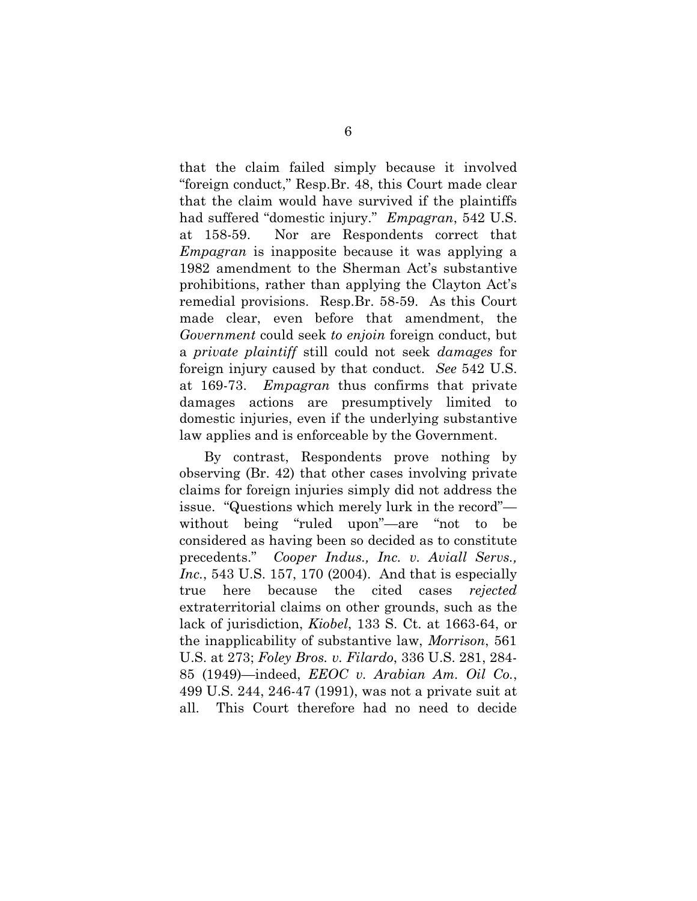that the claim failed simply because it involved "foreign conduct," Resp.Br. 48, this Court made clear that the claim would have survived if the plaintiffs had suffered "domestic injury." *Empagran*, 542 U.S. at 158-59. Nor are Respondents correct that *Empagran* is inapposite because it was applying a 1982 amendment to the Sherman Act's substantive prohibitions, rather than applying the Clayton Act's remedial provisions. Resp.Br. 58-59. As this Court made clear, even before that amendment, the *Government* could seek *to enjoin* foreign conduct, but a *private plaintiff* still could not seek *damages* for foreign injury caused by that conduct. *See* 542 U.S. at 169-73. *Empagran* thus confirms that private damages actions are presumptively limited to domestic injuries, even if the underlying substantive law applies and is enforceable by the Government.

<span id="page-10-3"></span><span id="page-10-2"></span><span id="page-10-1"></span><span id="page-10-0"></span>By contrast, Respondents prove nothing by observing (Br. 42) that other cases involving private claims for foreign injuries simply did not address the issue. "Questions which merely lurk in the record" without being "ruled upon"—are "not to be considered as having been so decided as to constitute precedents." *Cooper Indus., Inc. v. Aviall Servs., Inc.*, 543 U.S. 157, 170 (2004). And that is especially true here because the cited cases *rejected* extraterritorial claims on other grounds, such as the lack of jurisdiction, *Kiobel*, 133 S. Ct. at 1663-64, or the inapplicability of substantive law, *Morrison*, 561 U.S. at 273; *Foley Bros. v. Filardo*, 336 U.S. 281, 284- 85 (1949)—indeed, *EEOC v. Arabian Am. Oil Co.*, 499 U.S. 244, 246-47 (1991), was not a private suit at all. This Court therefore had no need to decide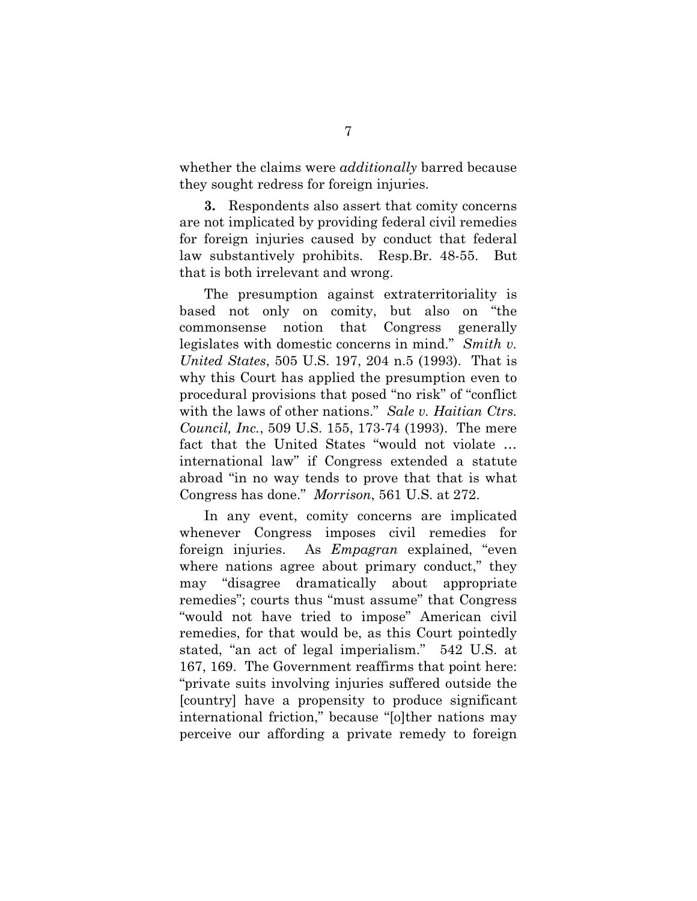whether the claims were *additionally* barred because they sought redress for foreign injuries.

**3.** Respondents also assert that comity concerns are not implicated by providing federal civil remedies for foreign injuries caused by conduct that federal law substantively prohibits. Resp.Br. 48-55. But that is both irrelevant and wrong.

<span id="page-11-1"></span>The presumption against extraterritoriality is based not only on comity, but also on "the commonsense notion that Congress generally legislates with domestic concerns in mind." *Smith v. United States*, 505 U.S. 197, 204 n.5 (1993). That is why this Court has applied the presumption even to procedural provisions that posed "no risk" of "conflict with the laws of other nations." *Sale v. Haitian Ctrs. Council, Inc.*, 509 U.S. 155, 173-74 (1993). The mere fact that the United States "would not violate … international law" if Congress extended a statute abroad "in no way tends to prove that that is what Congress has done." *Morrison*, 561 U.S. at 272.

<span id="page-11-0"></span>In any event, comity concerns are implicated whenever Congress imposes civil remedies for foreign injuries. As *Empagran* explained, "even where nations agree about primary conduct," they may "disagree dramatically about appropriate remedies"; courts thus "must assume" that Congress "would not have tried to impose" American civil remedies, for that would be, as this Court pointedly stated, "an act of legal imperialism." 542 U.S. at 167, 169. The Government reaffirms that point here: "private suits involving injuries suffered outside the [country] have a propensity to produce significant international friction," because "[o]ther nations may perceive our affording a private remedy to foreign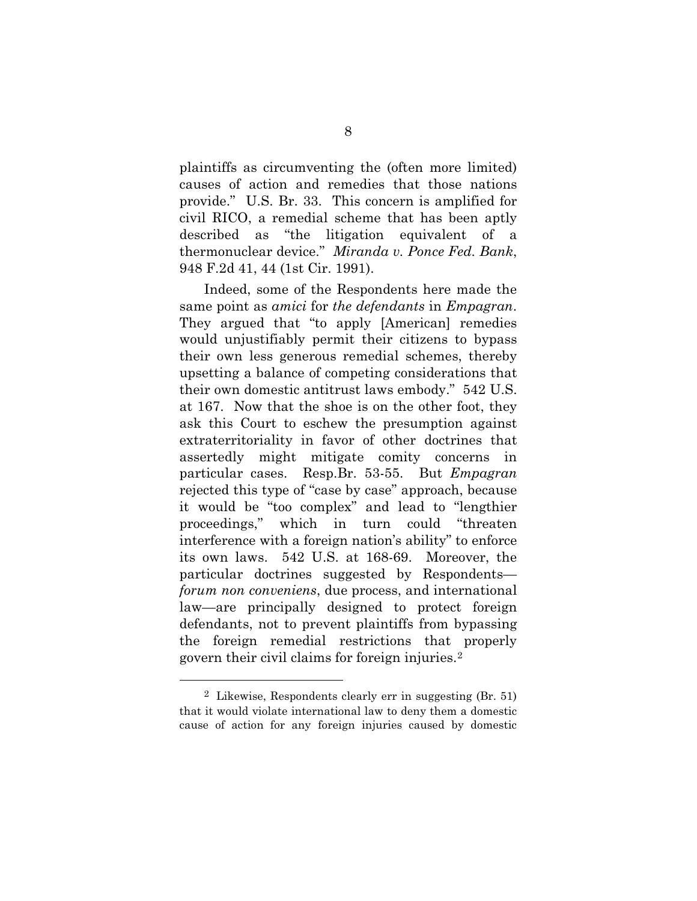plaintiffs as circumventing the (often more limited) causes of action and remedies that those nations provide." U.S. Br. 33. This concern is amplified for civil RICO, a remedial scheme that has been aptly described as "the litigation equivalent of a thermonuclear device." *Miranda v. Ponce Fed. Bank*, 948 F.2d 41, 44 (1st Cir. 1991).

<span id="page-12-0"></span>Indeed, some of the Respondents here made the same point as *amici* for *the defendants* in *Empagran*. They argued that "to apply [American] remedies would unjustifiably permit their citizens to bypass their own less generous remedial schemes, thereby upsetting a balance of competing considerations that their own domestic antitrust laws embody." 542 U.S. at 167. Now that the shoe is on the other foot, they ask this Court to eschew the presumption against extraterritoriality in favor of other doctrines that assertedly might mitigate comity concerns in particular cases. Resp.Br. 53-55. But *Empagran* rejected this type of "case by case" approach, because it would be "too complex" and lead to "lengthier proceedings," which in turn could "threaten interference with a foreign nation's ability" to enforce its own laws. 542 U.S. at 168-69. Moreover, the particular doctrines suggested by Respondents *forum non conveniens*, due process, and international law—are principally designed to protect foreign defendants, not to prevent plaintiffs from bypassing the foreign remedial restrictions that properly govern their civil claims for foreign injuries.[2](#page-12-1)

 $\overline{a}$ 

<span id="page-12-1"></span><sup>2</sup> Likewise, Respondents clearly err in suggesting (Br. 51) that it would violate international law to deny them a domestic cause of action for any foreign injuries caused by domestic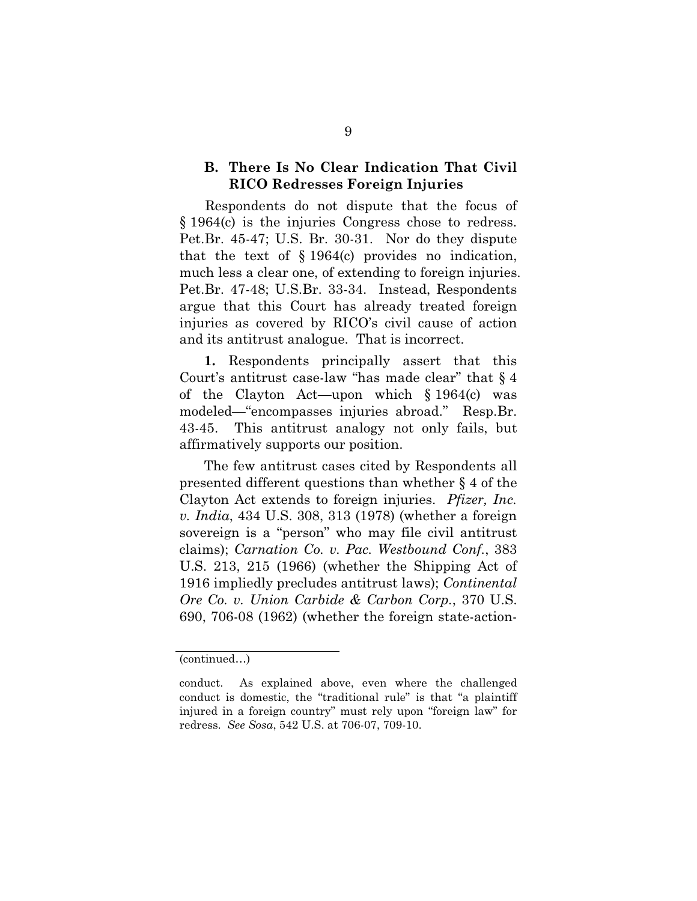#### **B. There Is No Clear Indication That Civil RICO Redresses Foreign Injuries**

Respondents do not dispute that the focus of § 1964(c) is the injuries Congress chose to redress. Pet.Br. 45-47; U.S. Br. 30-31. Nor do they dispute that the text of § 1964(c) provides no indication, much less a clear one, of extending to foreign injuries. Pet.Br. 47-48; U.S.Br. 33-34. Instead, Respondents argue that this Court has already treated foreign injuries as covered by RICO's civil cause of action and its antitrust analogue. That is incorrect.

**1.** Respondents principally assert that this Court's antitrust case-law "has made clear" that § 4 of the Clayton Act—upon which § 1964(c) was modeled—"encompasses injuries abroad." Resp.Br. 43-45. This antitrust analogy not only fails, but affirmatively supports our position.

<span id="page-13-2"></span><span id="page-13-0"></span>The few antitrust cases cited by Respondents all presented different questions than whether § 4 of the Clayton Act extends to foreign injuries. *Pfizer, Inc. v. India*, 434 U.S. 308, 313 (1978) (whether a foreign sovereign is a "person" who may file civil antitrust claims); *Carnation Co. v. Pac. Westbound Conf.*, 383 U.S. 213, 215 (1966) (whether the Shipping Act of 1916 impliedly precludes antitrust laws); *Continental Ore Co. v. Union Carbide & Carbon Corp.*, 370 U.S. 690, 706-08 (1962) (whether the foreign state-action-

<span id="page-13-1"></span><sup>(</sup>continued…)

<span id="page-13-3"></span>conduct. As explained above, even where the challenged conduct is domestic, the "traditional rule" is that "a plaintiff injured in a foreign country" must rely upon "foreign law" for redress. *See Sosa*, 542 U.S. at 706-07, 709-10.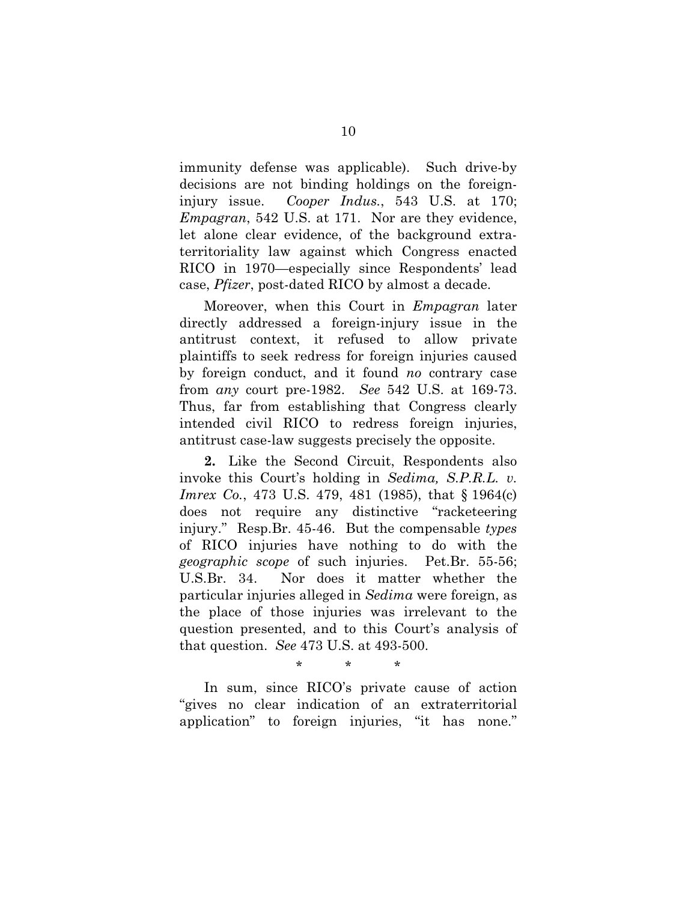<span id="page-14-0"></span>immunity defense was applicable). Such drive-by decisions are not binding holdings on the foreigninjury issue. *Cooper Indus.*, 543 U.S. at 170; *Empagran*, 542 U.S. at 171. Nor are they evidence, let alone clear evidence, of the background extraterritoriality law against which Congress enacted RICO in 1970—especially since Respondents' lead case, *Pfizer*, post-dated RICO by almost a decade.

Moreover, when this Court in *Empagran* later directly addressed a foreign-injury issue in the antitrust context, it refused to allow private plaintiffs to seek redress for foreign injuries caused by foreign conduct, and it found *no* contrary case from *any* court pre-1982. *See* 542 U.S. at 169-73. Thus, far from establishing that Congress clearly intended civil RICO to redress foreign injuries, antitrust case-law suggests precisely the opposite.

**2.** Like the Second Circuit, Respondents also invoke this Court's holding in *Sedima, S.P.R.L. v. Imrex Co.*, 473 U.S. 479, 481 (1985), that § 1964(c) does not require any distinctive "racketeering injury." Resp.Br. 45-46. But the compensable *types* of RICO injuries have nothing to do with the *geographic scope* of such injuries. Pet.Br. 55-56; U.S.Br. 34. Nor does it matter whether the particular injuries alleged in *Sedima* were foreign, as the place of those injuries was irrelevant to the question presented, and to this Court's analysis of that question. *See* 473 U.S. at 493-500.

<span id="page-14-1"></span>\* \* \*

In sum, since RICO's private cause of action "gives no clear indication of an extraterritorial application" to foreign injuries, "it has none."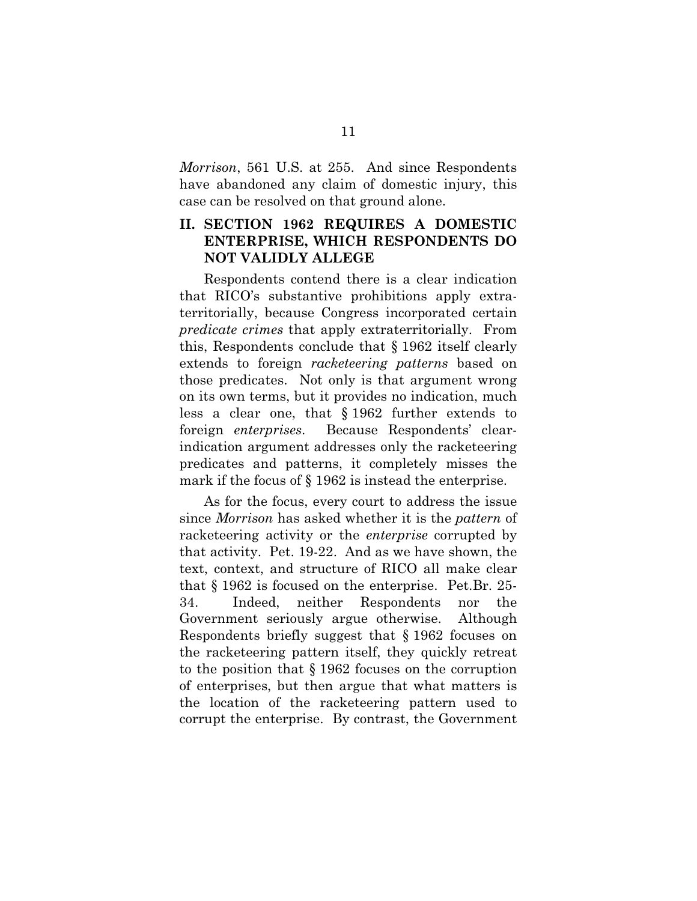*Morrison*, 561 U.S. at 255. And since Respondents have abandoned any claim of domestic injury, this case can be resolved on that ground alone.

#### **II. SECTION 1962 REQUIRES A DOMESTIC ENTERPRISE, WHICH RESPONDENTS DO NOT VALIDLY ALLEGE**

Respondents contend there is a clear indication that RICO's substantive prohibitions apply extraterritorially, because Congress incorporated certain *predicate crimes* that apply extraterritorially. From this, Respondents conclude that § 1962 itself clearly extends to foreign *racketeering patterns* based on those predicates. Not only is that argument wrong on its own terms, but it provides no indication, much less a clear one, that § 1962 further extends to foreign *enterprises*. Because Respondents' clearindication argument addresses only the racketeering predicates and patterns, it completely misses the mark if the focus of § 1962 is instead the enterprise.

As for the focus, every court to address the issue since *Morrison* has asked whether it is the *pattern* of racketeering activity or the *enterprise* corrupted by that activity. Pet. 19-22. And as we have shown, the text, context, and structure of RICO all make clear that § 1962 is focused on the enterprise. Pet.Br. 25- 34. Indeed, neither Respondents nor the Government seriously argue otherwise. Although Respondents briefly suggest that § 1962 focuses on the racketeering pattern itself, they quickly retreat to the position that § 1962 focuses on the corruption of enterprises, but then argue that what matters is the location of the racketeering pattern used to corrupt the enterprise. By contrast, the Government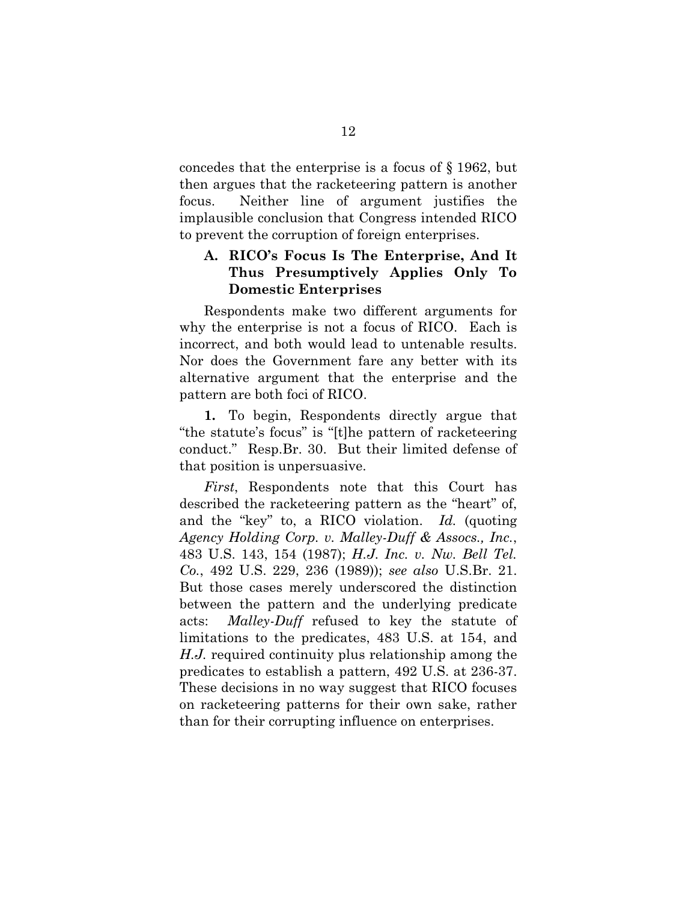concedes that the enterprise is a focus of § 1962, but then argues that the racketeering pattern is another focus. Neither line of argument justifies the implausible conclusion that Congress intended RICO to prevent the corruption of foreign enterprises.

#### **A. RICO's Focus Is The Enterprise, And It Thus Presumptively Applies Only To Domestic Enterprises**

Respondents make two different arguments for why the enterprise is not a focus of RICO. Each is incorrect, and both would lead to untenable results. Nor does the Government fare any better with its alternative argument that the enterprise and the pattern are both foci of RICO.

**1.** To begin, Respondents directly argue that "the statute's focus" is "[t]he pattern of racketeering conduct." Resp.Br. 30. But their limited defense of that position is unpersuasive.

<span id="page-16-1"></span><span id="page-16-0"></span>*First*, Respondents note that this Court has described the racketeering pattern as the "heart" of, and the "key" to, a RICO violation. *Id.* (quoting *Agency Holding Corp. v. Malley-Duff & Assocs., Inc.*, 483 U.S. 143, 154 (1987); *H.J. Inc. v. Nw. Bell Tel. Co.*, 492 U.S. 229, 236 (1989)); *see also* U.S.Br. 21. But those cases merely underscored the distinction between the pattern and the underlying predicate acts: *Malley-Duff* refused to key the statute of limitations to the predicates, 483 U.S. at 154, and *H.J.* required continuity plus relationship among the predicates to establish a pattern, 492 U.S. at 236-37. These decisions in no way suggest that RICO focuses on racketeering patterns for their own sake, rather than for their corrupting influence on enterprises.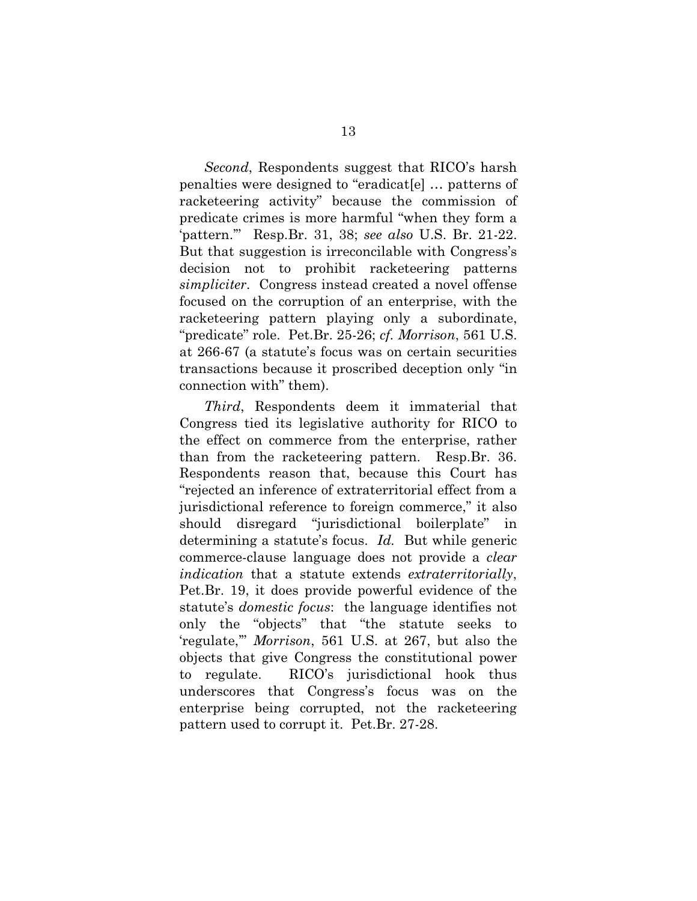*Second*, Respondents suggest that RICO's harsh penalties were designed to "eradicat[e] … patterns of racketeering activity" because the commission of predicate crimes is more harmful "when they form a 'pattern.'" Resp.Br. 31, 38; *see also* U.S. Br. 21-22. But that suggestion is irreconcilable with Congress's decision not to prohibit racketeering patterns *simpliciter*. Congress instead created a novel offense focused on the corruption of an enterprise, with the racketeering pattern playing only a subordinate, "predicate" role. Pet.Br. 25-26; *cf. Morrison*, 561 U.S. at 266-67 (a statute's focus was on certain securities transactions because it proscribed deception only "in connection with" them).

*Third*, Respondents deem it immaterial that Congress tied its legislative authority for RICO to the effect on commerce from the enterprise, rather than from the racketeering pattern. Resp.Br. 36. Respondents reason that, because this Court has "rejected an inference of extraterritorial effect from a jurisdictional reference to foreign commerce," it also should disregard "jurisdictional boilerplate" in determining a statute's focus. *Id.* But while generic commerce-clause language does not provide a *clear indication* that a statute extends *extraterritorially*, Pet.Br. 19, it does provide powerful evidence of the statute's *domestic focus*: the language identifies not only the "objects" that "the statute seeks to 'regulate,'" *Morrison*, 561 U.S. at 267, but also the objects that give Congress the constitutional power to regulate. RICO's jurisdictional hook thus underscores that Congress's focus was on the enterprise being corrupted, not the racketeering pattern used to corrupt it. Pet.Br. 27-28.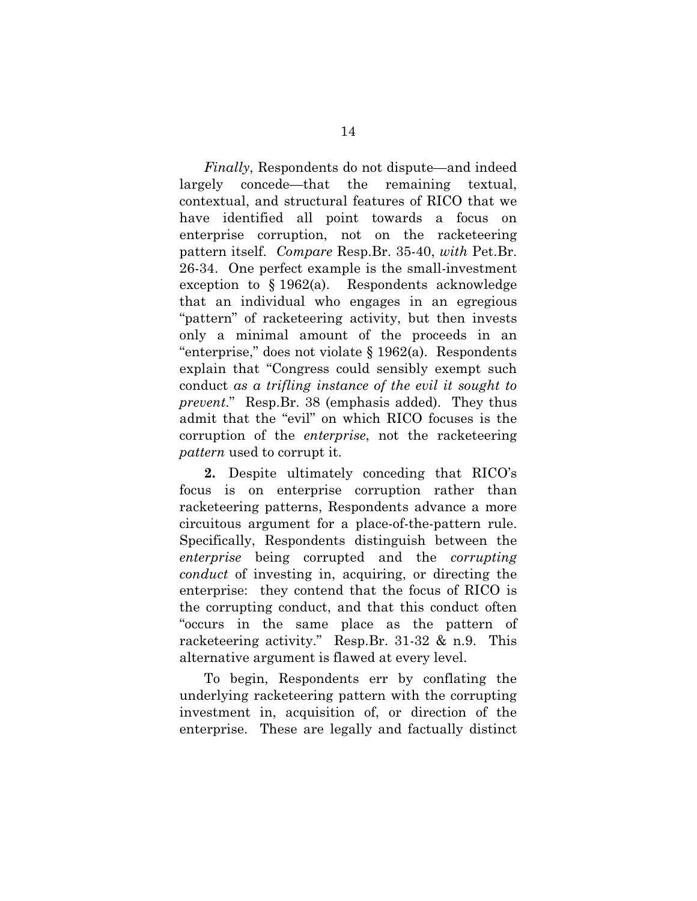*Finally*, Respondents do not dispute—and indeed largely concede—that the remaining textual, contextual, and structural features of RICO that we have identified all point towards a focus on enterprise corruption, not on the racketeering pattern itself. *Compare* Resp.Br. 35-40, *with* Pet.Br. 26-34. One perfect example is the small-investment exception to  $\S 1962(a)$ . Respondents acknowledge that an individual who engages in an egregious "pattern" of racketeering activity, but then invests only a minimal amount of the proceeds in an "enterprise," does not violate § 1962(a). Respondents explain that "Congress could sensibly exempt such conduct *as a trifling instance of the evil it sought to prevent*." Resp.Br. 38 (emphasis added). They thus admit that the "evil" on which RICO focuses is the corruption of the *enterprise*, not the racketeering *pattern* used to corrupt it.

**2.** Despite ultimately conceding that RICO's focus is on enterprise corruption rather than racketeering patterns, Respondents advance a more circuitous argument for a place-of-the-pattern rule. Specifically, Respondents distinguish between the *enterprise* being corrupted and the *corrupting conduct* of investing in, acquiring, or directing the enterprise: they contend that the focus of RICO is the corrupting conduct, and that this conduct often "occurs in the same place as the pattern of racketeering activity." Resp.Br. 31-32 & n.9. This alternative argument is flawed at every level.

To begin, Respondents err by conflating the underlying racketeering pattern with the corrupting investment in, acquisition of, or direction of the enterprise. These are legally and factually distinct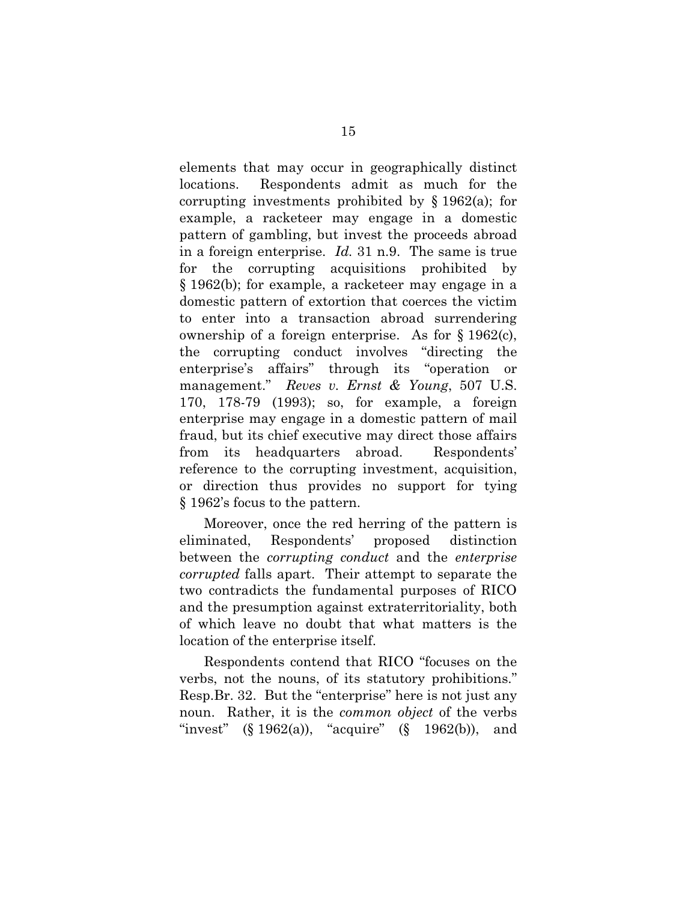elements that may occur in geographically distinct locations. Respondents admit as much for the corrupting investments prohibited by § 1962(a); for example, a racketeer may engage in a domestic pattern of gambling, but invest the proceeds abroad in a foreign enterprise. *Id.* 31 n.9. The same is true for the corrupting acquisitions prohibited by § 1962(b); for example, a racketeer may engage in a domestic pattern of extortion that coerces the victim to enter into a transaction abroad surrendering ownership of a foreign enterprise. As for § 1962(c), the corrupting conduct involves "directing the enterprise's affairs" through its "operation or management." *Reves v. Ernst & Young*, 507 U.S. 170, 178-79 (1993); so, for example, a foreign enterprise may engage in a domestic pattern of mail fraud, but its chief executive may direct those affairs from its headquarters abroad. Respondents' reference to the corrupting investment, acquisition, or direction thus provides no support for tying § 1962's focus to the pattern.

<span id="page-19-0"></span>Moreover, once the red herring of the pattern is eliminated, Respondents' proposed distinction between the *corrupting conduct* and the *enterprise corrupted* falls apart. Their attempt to separate the two contradicts the fundamental purposes of RICO and the presumption against extraterritoriality, both of which leave no doubt that what matters is the location of the enterprise itself.

Respondents contend that RICO "focuses on the verbs, not the nouns, of its statutory prohibitions." Resp.Br. 32. But the "enterprise" here is not just any noun. Rather, it is the *common object* of the verbs "invest"  $(\S 1962(a))$ , "acquire"  $(\S 1962(b))$ , and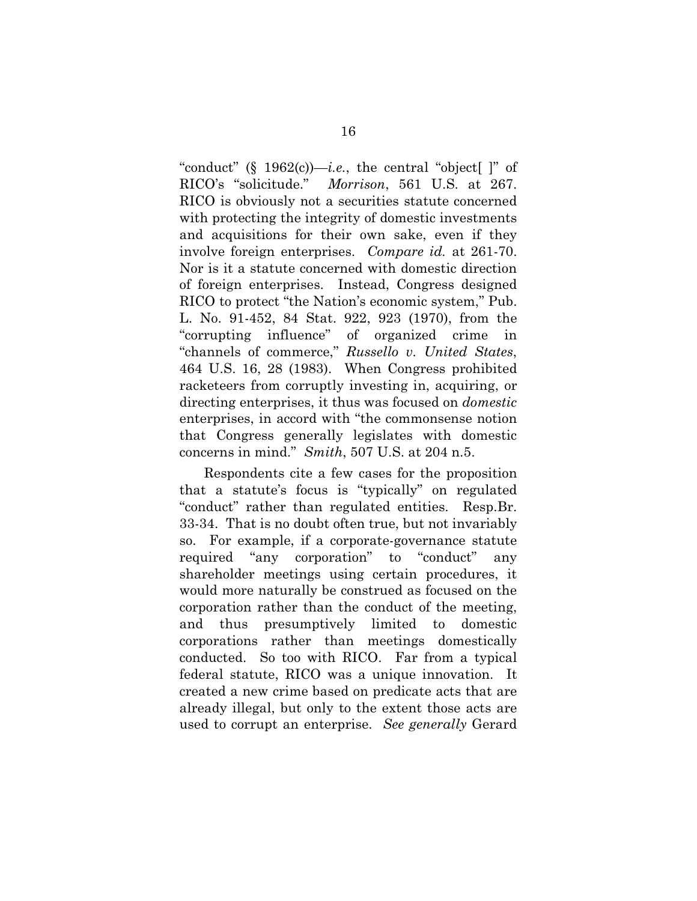<span id="page-20-2"></span>"conduct" (§ 1962(c))—*i.e.*, the central "object |" of RICO's "solicitude." *Morrison*, 561 U.S. at 267. RICO is obviously not a securities statute concerned with protecting the integrity of domestic investments and acquisitions for their own sake, even if they involve foreign enterprises. *Compare id.* at 261-70. Nor is it a statute concerned with domestic direction of foreign enterprises. Instead, Congress designed RICO to protect "the Nation's economic system," Pub. L. No. 91-452, 84 Stat. 922, 923 (1970), from the "corrupting influence" of organized crime in "channels of commerce," *Russello v. United States*, 464 U.S. 16, 28 (1983). When Congress prohibited racketeers from corruptly investing in, acquiring, or directing enterprises, it thus was focused on *domestic*  enterprises, in accord with "the commonsense notion that Congress generally legislates with domestic concerns in mind." *Smith*, 507 U.S. at 204 n.5.

<span id="page-20-1"></span><span id="page-20-0"></span>Respondents cite a few cases for the proposition that a statute's focus is "typically" on regulated "conduct" rather than regulated entities. Resp.Br. 33-34. That is no doubt often true, but not invariably so. For example, if a corporate-governance statute required "any corporation" to "conduct" any shareholder meetings using certain procedures, it would more naturally be construed as focused on the corporation rather than the conduct of the meeting, and thus presumptively limited to domestic corporations rather than meetings domestically conducted. So too with RICO. Far from a typical federal statute, RICO was a unique innovation. It created a new crime based on predicate acts that are already illegal, but only to the extent those acts are used to corrupt an enterprise. *See generally* Gerard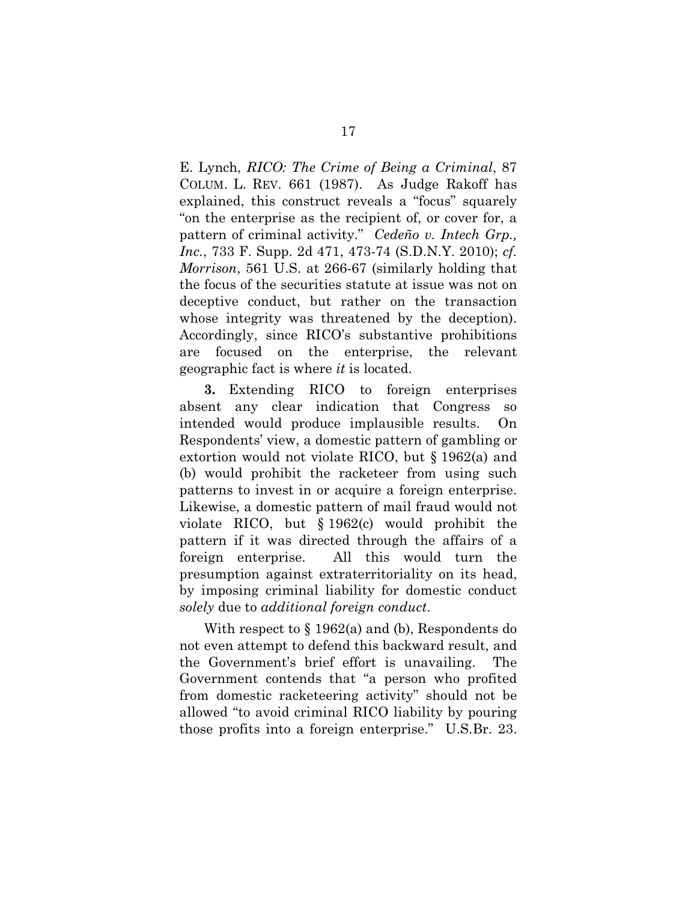<span id="page-21-1"></span><span id="page-21-0"></span>E. Lynch, *RICO: The Crime of Being a Criminal*, 87 COLUM. L. REV. 661 (1987). As Judge Rakoff has explained, this construct reveals a "focus" squarely "on the enterprise as the recipient of, or cover for, a pattern of criminal activity." *Cedeño v. Intech Grp., Inc.*, 733 F. Supp. 2d 471, 473-74 (S.D.N.Y. 2010); *cf. Morrison*, 561 U.S. at 266-67 (similarly holding that the focus of the securities statute at issue was not on deceptive conduct, but rather on the transaction whose integrity was threatened by the deception). Accordingly, since RICO's substantive prohibitions are focused on the enterprise, the relevant geographic fact is where *it* is located.

**3.** Extending RICO to foreign enterprises absent any clear indication that Congress so intended would produce implausible results. On Respondents' view, a domestic pattern of gambling or extortion would not violate RICO, but § 1962(a) and (b) would prohibit the racketeer from using such patterns to invest in or acquire a foreign enterprise. Likewise, a domestic pattern of mail fraud would not violate RICO, but § 1962(c) would prohibit the pattern if it was directed through the affairs of a foreign enterprise. All this would turn the presumption against extraterritoriality on its head, by imposing criminal liability for domestic conduct *solely* due to *additional foreign conduct*.

With respect to  $\S 1962(a)$  and (b), Respondents do not even attempt to defend this backward result, and the Government's brief effort is unavailing. The Government contends that "a person who profited from domestic racketeering activity" should not be allowed "to avoid criminal RICO liability by pouring those profits into a foreign enterprise." U.S.Br. 23.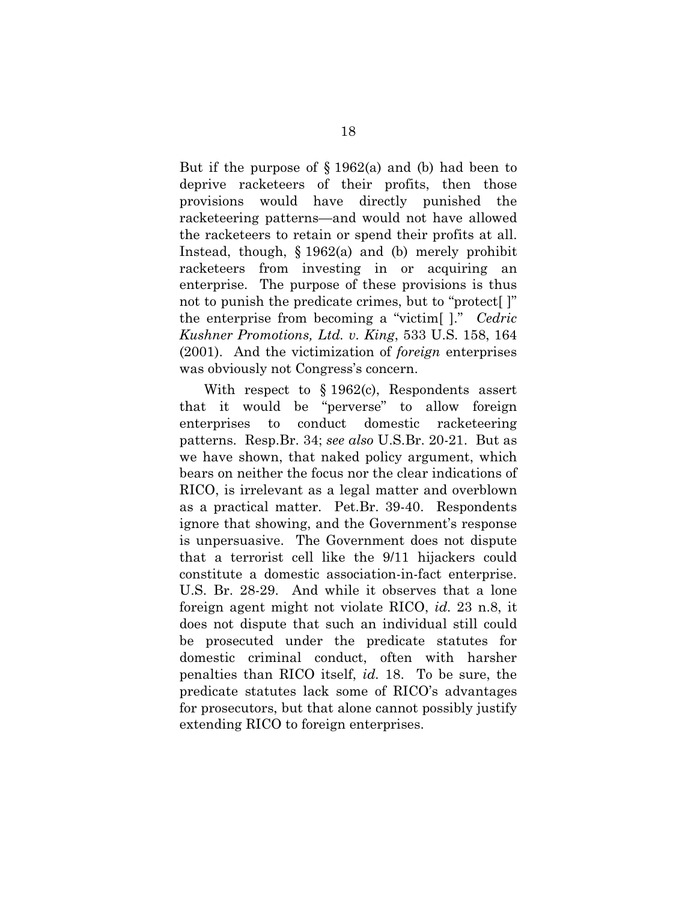But if the purpose of  $\S 1962(a)$  and (b) had been to deprive racketeers of their profits, then those provisions would have directly punished the racketeering patterns—and would not have allowed the racketeers to retain or spend their profits at all. Instead, though, § 1962(a) and (b) merely prohibit racketeers from investing in or acquiring an enterprise. The purpose of these provisions is thus not to punish the predicate crimes, but to "protect[ ]" the enterprise from becoming a "victim[ ]." *Cedric Kushner Promotions, Ltd. v. King*, 533 U.S. 158, 164 (2001). And the victimization of *foreign* enterprises was obviously not Congress's concern.

<span id="page-22-0"></span>With respect to § 1962(c), Respondents assert that it would be "perverse" to allow foreign enterprises to conduct domestic racketeering patterns. Resp.Br. 34; *see also* U.S.Br. 20-21. But as we have shown, that naked policy argument, which bears on neither the focus nor the clear indications of RICO, is irrelevant as a legal matter and overblown as a practical matter. Pet.Br. 39-40. Respondents ignore that showing, and the Government's response is unpersuasive. The Government does not dispute that a terrorist cell like the 9/11 hijackers could constitute a domestic association-in-fact enterprise. U.S. Br. 28-29. And while it observes that a lone foreign agent might not violate RICO, *id.* 23 n.8, it does not dispute that such an individual still could be prosecuted under the predicate statutes for domestic criminal conduct, often with harsher penalties than RICO itself, *id.* 18. To be sure, the predicate statutes lack some of RICO's advantages for prosecutors, but that alone cannot possibly justify extending RICO to foreign enterprises.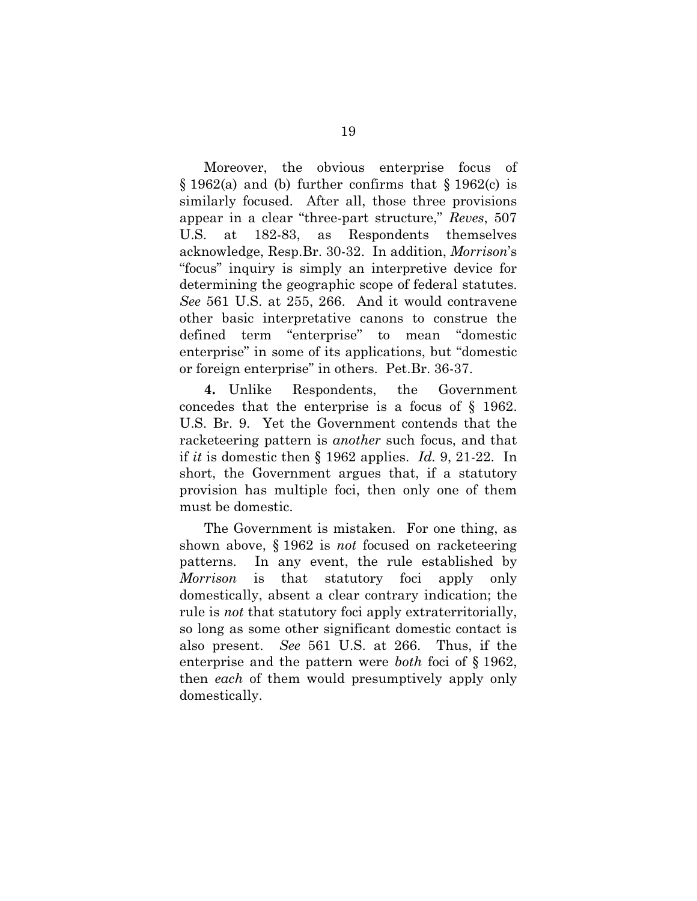<span id="page-23-0"></span>Moreover, the obvious enterprise focus of  $\S 1962(a)$  and (b) further confirms that  $\S 1962(c)$  is similarly focused. After all, those three provisions appear in a clear "three-part structure," *Reves*, 507 U.S. at 182-83, as Respondents themselves acknowledge, Resp.Br. 30-32. In addition, *Morrison*'s "focus" inquiry is simply an interpretive device for determining the geographic scope of federal statutes. *See* 561 U.S. at 255, 266. And it would contravene other basic interpretative canons to construe the defined term "enterprise" to mean "domestic enterprise" in some of its applications, but "domestic or foreign enterprise" in others. Pet.Br. 36-37.

**4.** Unlike Respondents, the Government concedes that the enterprise is a focus of § 1962. U.S. Br. 9. Yet the Government contends that the racketeering pattern is *another* such focus, and that if *it* is domestic then § 1962 applies. *Id.* 9, 21-22. In short, the Government argues that, if a statutory provision has multiple foci, then only one of them must be domestic.

The Government is mistaken. For one thing, as shown above, § 1962 is *not* focused on racketeering patterns. In any event, the rule established by *Morrison* is that statutory foci apply only domestically, absent a clear contrary indication; the rule is *not* that statutory foci apply extraterritorially, so long as some other significant domestic contact is also present. *See* 561 U.S. at 266. Thus, if the enterprise and the pattern were *both* foci of § 1962, then *each* of them would presumptively apply only domestically.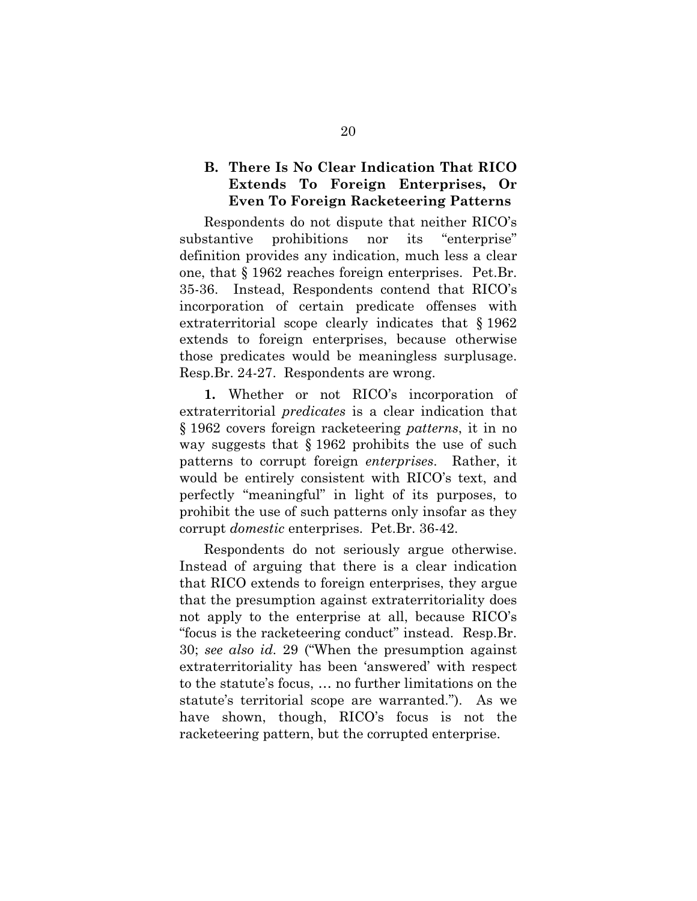#### **B. There Is No Clear Indication That RICO Extends To Foreign Enterprises, Or Even To Foreign Racketeering Patterns**

Respondents do not dispute that neither RICO's substantive prohibitions nor its "enterprise" definition provides any indication, much less a clear one, that § 1962 reaches foreign enterprises. Pet.Br. 35-36. Instead, Respondents contend that RICO's incorporation of certain predicate offenses with extraterritorial scope clearly indicates that § 1962 extends to foreign enterprises, because otherwise those predicates would be meaningless surplusage. Resp.Br. 24-27. Respondents are wrong.

**1.** Whether or not RICO's incorporation of extraterritorial *predicates* is a clear indication that § 1962 covers foreign racketeering *patterns*, it in no way suggests that § 1962 prohibits the use of such patterns to corrupt foreign *enterprises*. Rather, it would be entirely consistent with RICO's text, and perfectly "meaningful" in light of its purposes, to prohibit the use of such patterns only insofar as they corrupt *domestic* enterprises. Pet.Br. 36-42.

Respondents do not seriously argue otherwise. Instead of arguing that there is a clear indication that RICO extends to foreign enterprises, they argue that the presumption against extraterritoriality does not apply to the enterprise at all, because RICO's "focus is the racketeering conduct" instead. Resp.Br. 30; *see also id.* 29 ("When the presumption against extraterritoriality has been 'answered' with respect to the statute's focus, … no further limitations on the statute's territorial scope are warranted."). As we have shown, though, RICO's focus is not the racketeering pattern, but the corrupted enterprise.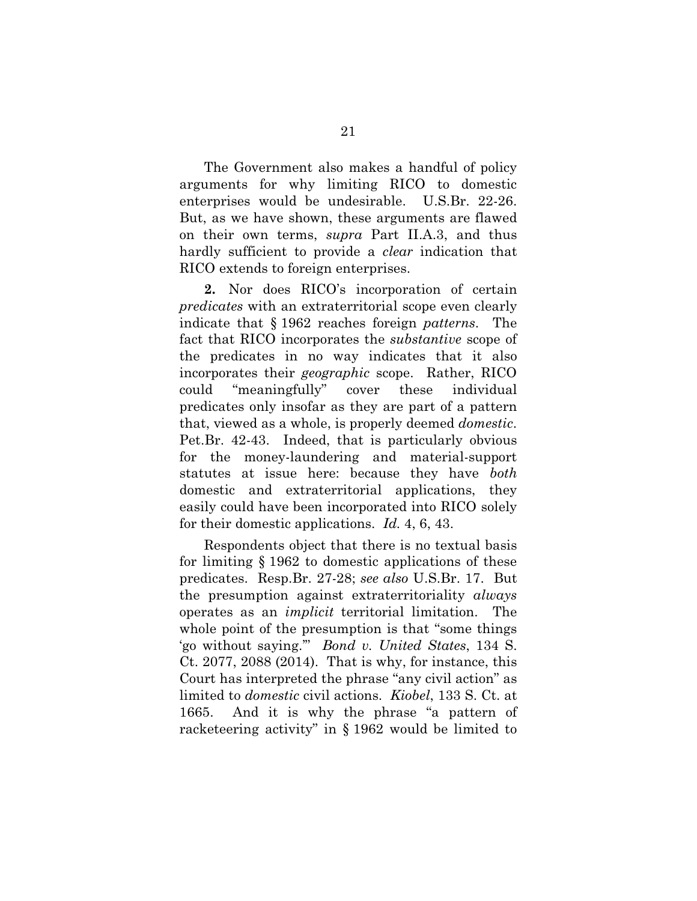The Government also makes a handful of policy arguments for why limiting RICO to domestic enterprises would be undesirable. U.S.Br. 22-26. But, as we have shown, these arguments are flawed on their own terms, *supra* Part II.A.3, and thus hardly sufficient to provide a *clear* indication that RICO extends to foreign enterprises.

**2.** Nor does RICO's incorporation of certain *predicates* with an extraterritorial scope even clearly indicate that § 1962 reaches foreign *patterns*. The fact that RICO incorporates the *substantive* scope of the predicates in no way indicates that it also incorporates their *geographic* scope. Rather, RICO could "meaningfully" cover these individual predicates only insofar as they are part of a pattern that, viewed as a whole, is properly deemed *domestic*. Pet.Br. 42-43. Indeed, that is particularly obvious for the money-laundering and material-support statutes at issue here: because they have *both*  domestic and extraterritorial applications, they easily could have been incorporated into RICO solely for their domestic applications. *Id.* 4, 6, 43.

<span id="page-25-1"></span><span id="page-25-0"></span>Respondents object that there is no textual basis for limiting § 1962 to domestic applications of these predicates. Resp.Br. 27-28; *see also* U.S.Br. 17. But the presumption against extraterritoriality *always*  operates as an *implicit* territorial limitation. The whole point of the presumption is that "some things" 'go without saying.'" *Bond v. United States*, 134 S. Ct. 2077, 2088 (2014). That is why, for instance, this Court has interpreted the phrase "any civil action" as limited to *domestic* civil actions. *Kiobel*, 133 S. Ct. at 1665. And it is why the phrase "a pattern of racketeering activity" in § 1962 would be limited to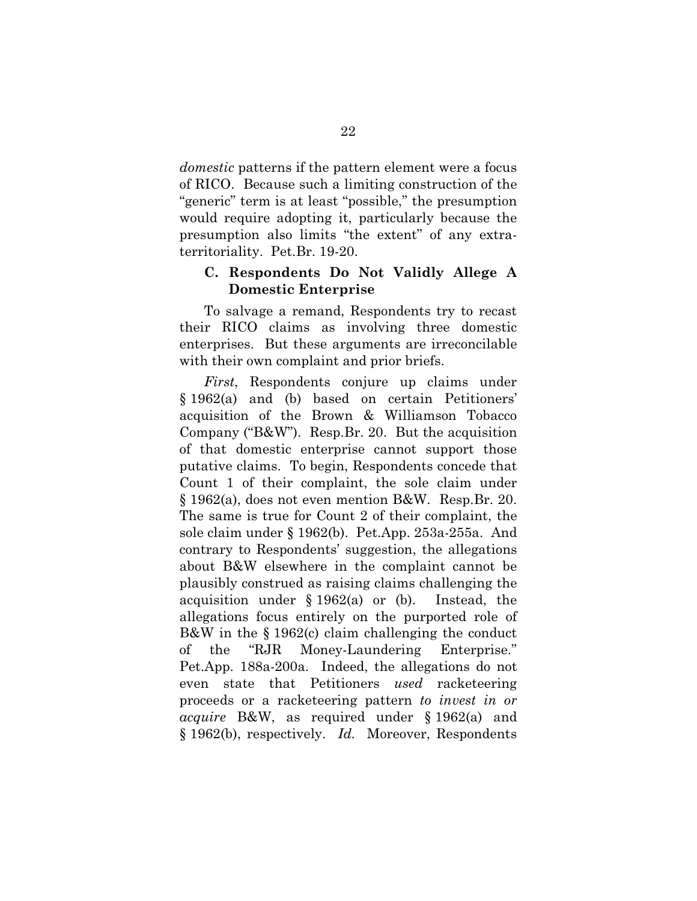*domestic* patterns if the pattern element were a focus of RICO. Because such a limiting construction of the "generic" term is at least "possible," the presumption would require adopting it, particularly because the presumption also limits "the extent" of any extraterritoriality. Pet.Br. 19-20.

#### **C. Respondents Do Not Validly Allege A Domestic Enterprise**

To salvage a remand, Respondents try to recast their RICO claims as involving three domestic enterprises. But these arguments are irreconcilable with their own complaint and prior briefs.

*First*, Respondents conjure up claims under § 1962(a) and (b) based on certain Petitioners' acquisition of the Brown & Williamson Tobacco Company ("B&W"). Resp.Br. 20. But the acquisition of that domestic enterprise cannot support those putative claims. To begin, Respondents concede that Count 1 of their complaint, the sole claim under § 1962(a), does not even mention B&W. Resp.Br. 20. The same is true for Count 2 of their complaint, the sole claim under § 1962(b). Pet.App. 253a-255a. And contrary to Respondents' suggestion, the allegations about B&W elsewhere in the complaint cannot be plausibly construed as raising claims challenging the acquisition under § 1962(a) or (b). Instead, the allegations focus entirely on the purported role of B&W in the § 1962(c) claim challenging the conduct of the "RJR Money-Laundering Enterprise." Pet.App. 188a-200a. Indeed, the allegations do not even state that Petitioners *used* racketeering proceeds or a racketeering pattern *to invest in or acquire* B&W, as required under § 1962(a) and § 1962(b), respectively. *Id.* Moreover, Respondents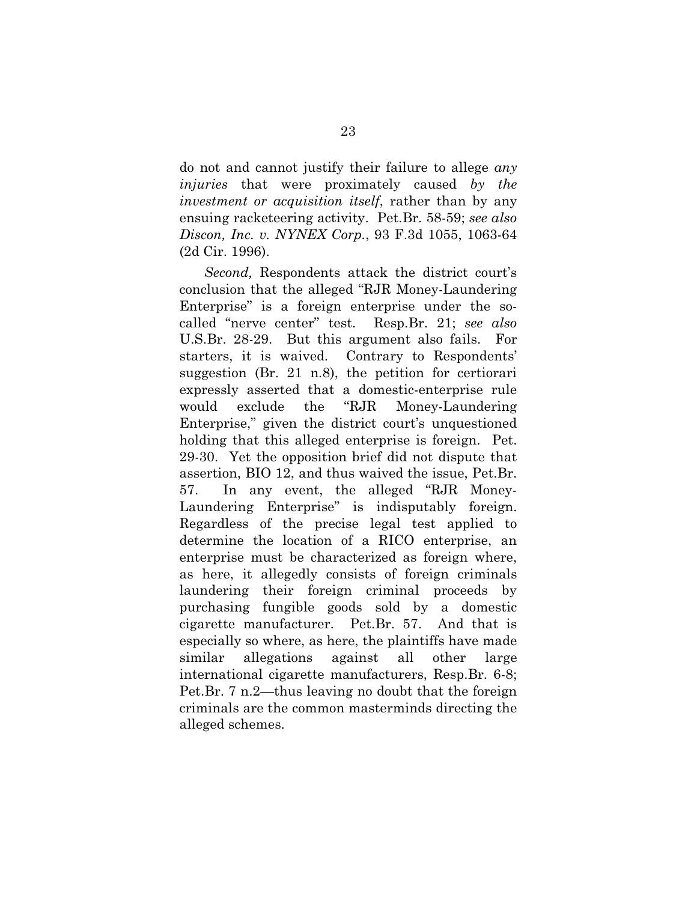do not and cannot justify their failure to allege *any injuries* that were proximately caused *by the investment or acquisition itself*, rather than by any ensuing racketeering activity. Pet.Br. 58-59; *see also Discon, Inc. v. NYNEX Corp.*, 93 F.3d 1055, 1063-64 (2d Cir. 1996).

<span id="page-27-0"></span>*Second,* Respondents attack the district court's conclusion that the alleged "RJR Money-Laundering Enterprise" is a foreign enterprise under the socalled "nerve center" test. Resp.Br. 21; *see also*  U.S.Br. 28-29. But this argument also fails. For starters, it is waived. Contrary to Respondents' suggestion (Br. 21 n.8), the petition for certiorari expressly asserted that a domestic-enterprise rule would exclude the "RJR Money-Laundering Enterprise," given the district court's unquestioned holding that this alleged enterprise is foreign. Pet. 29-30. Yet the opposition brief did not dispute that assertion, BIO 12, and thus waived the issue, Pet.Br. 57. In any event, the alleged "RJR Money-Laundering Enterprise" is indisputably foreign. Regardless of the precise legal test applied to determine the location of a RICO enterprise, an enterprise must be characterized as foreign where, as here, it allegedly consists of foreign criminals laundering their foreign criminal proceeds by purchasing fungible goods sold by a domestic cigarette manufacturer. Pet.Br. 57. And that is especially so where, as here, the plaintiffs have made similar allegations against all other large international cigarette manufacturers, Resp.Br. 6-8; Pet.Br. 7 n.2—thus leaving no doubt that the foreign criminals are the common masterminds directing the alleged schemes.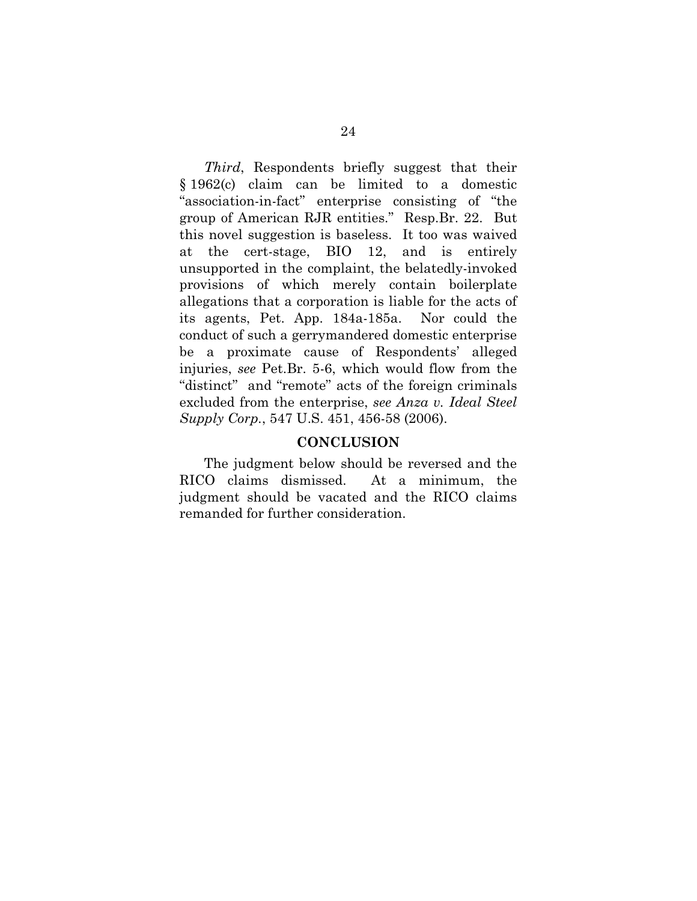*Third*, Respondents briefly suggest that their § 1962(c) claim can be limited to a domestic "association-in-fact" enterprise consisting of "the group of American RJR entities." Resp.Br. 22. But this novel suggestion is baseless. It too was waived at the cert-stage, BIO 12, and is entirely unsupported in the complaint, the belatedly-invoked provisions of which merely contain boilerplate allegations that a corporation is liable for the acts of its agents, Pet. App. 184a-185a. Nor could the conduct of such a gerrymandered domestic enterprise be a proximate cause of Respondents' alleged injuries, *see* Pet.Br. 5-6, which would flow from the "distinct" and "remote" acts of the foreign criminals excluded from the enterprise, *see Anza v. Ideal Steel Supply Corp.*, 547 U.S. 451, 456-58 (2006).

#### <span id="page-28-0"></span>**CONCLUSION**

The judgment below should be reversed and the RICO claims dismissed. At a minimum, the judgment should be vacated and the RICO claims remanded for further consideration.